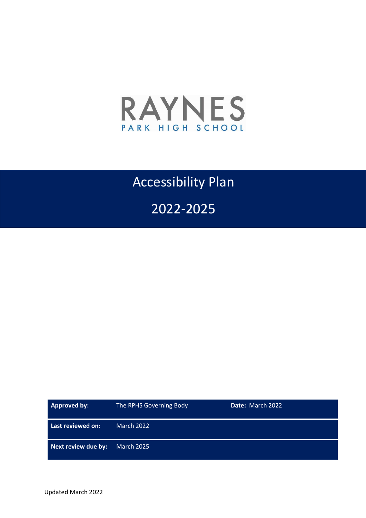

## Accessibility Plan

## 2022-2025

| Approved by:        | The RPHS Governing Body | Date: March 2022 |
|---------------------|-------------------------|------------------|
| Last reviewed on:   | <b>March 2022</b>       |                  |
| Next review due by: | March 2025              |                  |